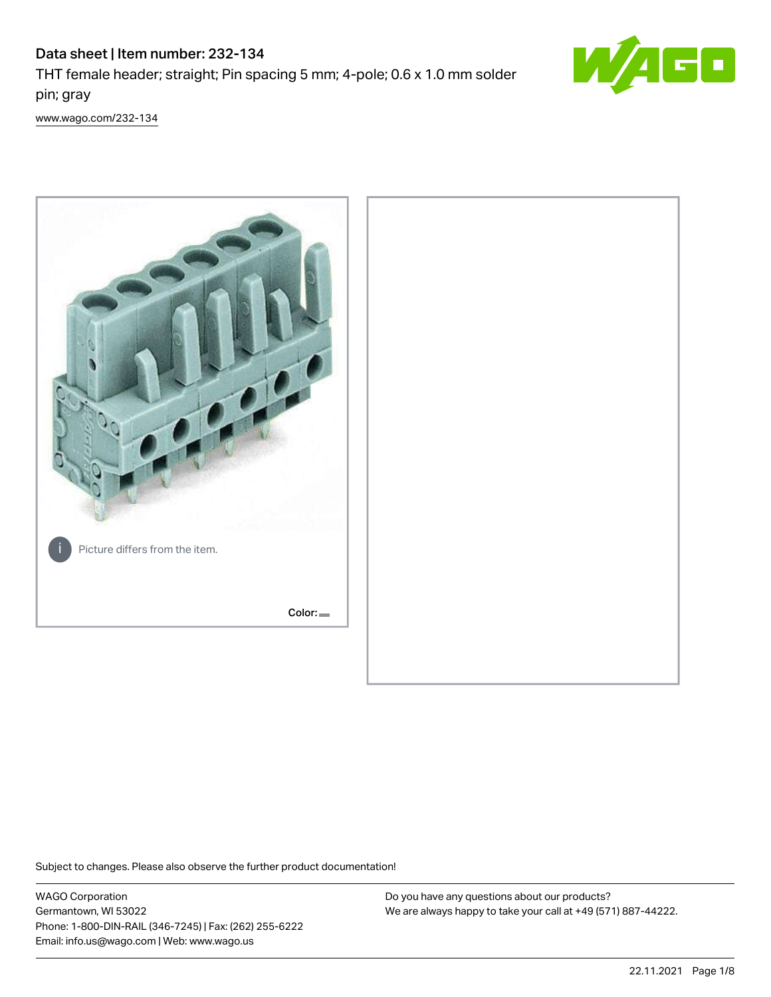# Data sheet | Item number: 232-134 THT female header; straight; Pin spacing 5 mm; 4-pole; 0.6 x 1.0 mm solder pin; gray



[www.wago.com/232-134](http://www.wago.com/232-134)



Subject to changes. Please also observe the further product documentation!

WAGO Corporation Germantown, WI 53022 Phone: 1-800-DIN-RAIL (346-7245) | Fax: (262) 255-6222 Email: info.us@wago.com | Web: www.wago.us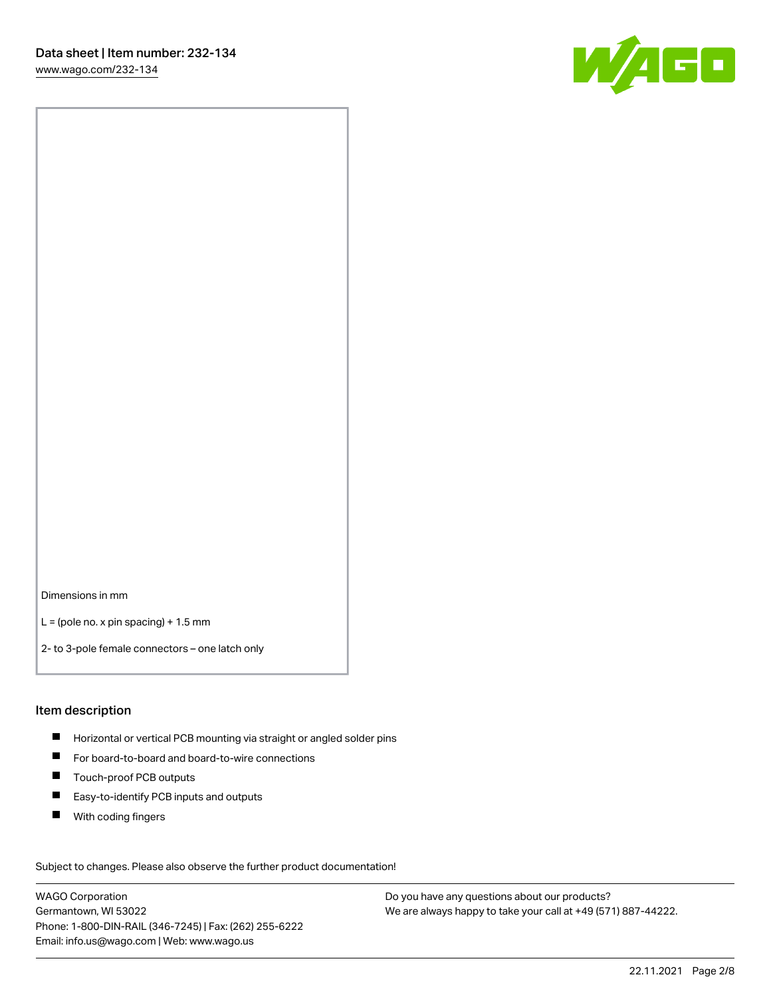W/160

Dimensions in mm

 $L =$  (pole no. x pin spacing) + 1.5 mm

2- to 3-pole female connectors – one latch only

### Item description

- **Horizontal or vertical PCB mounting via straight or angled solder pins**
- For board-to-board and board-to-wire connections
- Touch-proof PCB outputs  $\blacksquare$
- $\blacksquare$ Easy-to-identify PCB inputs and outputs
- $\blacksquare$ With coding fingers

Subject to changes. Please also observe the further product documentation! Data

WAGO Corporation Germantown, WI 53022 Phone: 1-800-DIN-RAIL (346-7245) | Fax: (262) 255-6222 Email: info.us@wago.com | Web: www.wago.us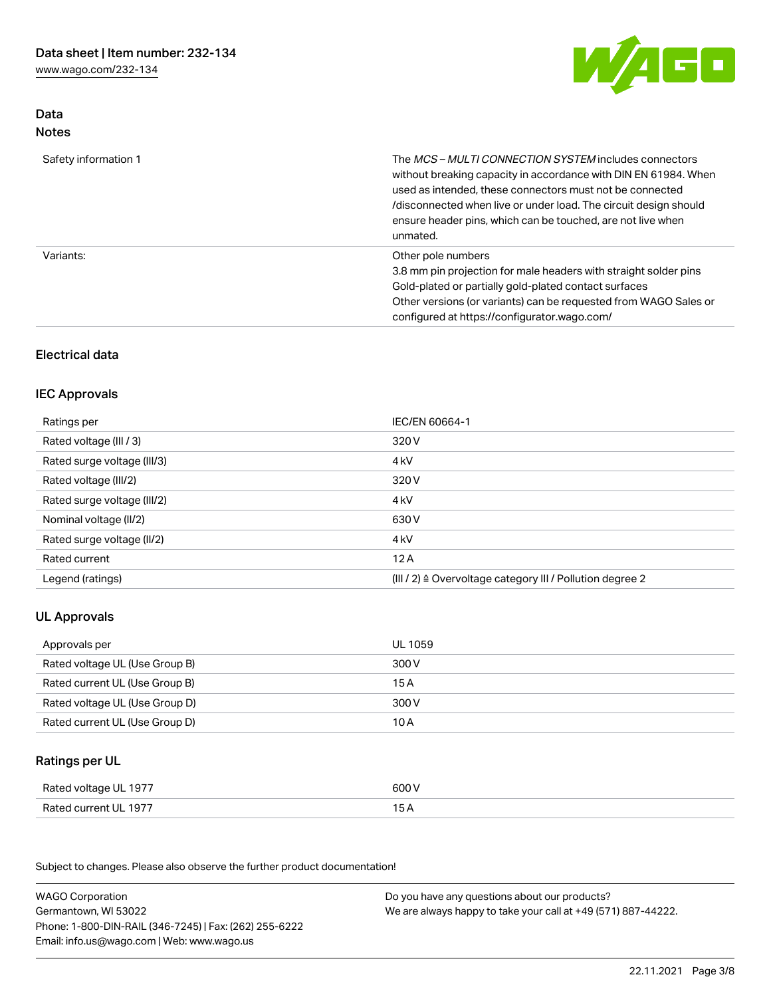[www.wago.com/232-134](http://www.wago.com/232-134)

Data Notes



| Safety information 1 | The <i>MCS - MULTI CONNECTION SYSTEM</i> includes connectors<br>without breaking capacity in accordance with DIN EN 61984. When<br>used as intended, these connectors must not be connected<br>/disconnected when live or under load. The circuit design should<br>ensure header pins, which can be touched, are not live when<br>unmated. |
|----------------------|--------------------------------------------------------------------------------------------------------------------------------------------------------------------------------------------------------------------------------------------------------------------------------------------------------------------------------------------|
| Variants:            | Other pole numbers<br>3.8 mm pin projection for male headers with straight solder pins<br>Gold-plated or partially gold-plated contact surfaces<br>Other versions (or variants) can be requested from WAGO Sales or<br>configured at https://configurator.wago.com/                                                                        |

# Electrical data

### IEC Approvals

| Ratings per                 | IEC/EN 60664-1                                                        |
|-----------------------------|-----------------------------------------------------------------------|
| Rated voltage (III / 3)     | 320 V                                                                 |
| Rated surge voltage (III/3) | 4 <sub>k</sub> V                                                      |
| Rated voltage (III/2)       | 320 V                                                                 |
| Rated surge voltage (III/2) | 4 <sub>k</sub> V                                                      |
| Nominal voltage (II/2)      | 630 V                                                                 |
| Rated surge voltage (II/2)  | 4 <sub>k</sub> V                                                      |
| Rated current               | 12A                                                                   |
| Legend (ratings)            | $(III / 2)$ $\triangle$ Overvoltage category III / Pollution degree 2 |

# UL Approvals

| Approvals per                  | UL 1059 |
|--------------------------------|---------|
| Rated voltage UL (Use Group B) | 300 V   |
| Rated current UL (Use Group B) | 15 A    |
| Rated voltage UL (Use Group D) | 300 V   |
| Rated current UL (Use Group D) | 10 A    |

# Ratings per UL

| Rated voltage UL 1977 | 600 V |
|-----------------------|-------|
| Rated current UL 1977 |       |

Subject to changes. Please also observe the further product documentation!

| <b>WAGO Corporation</b>                                | Do you have any questions about our products?                 |
|--------------------------------------------------------|---------------------------------------------------------------|
| Germantown, WI 53022                                   | We are always happy to take your call at +49 (571) 887-44222. |
| Phone: 1-800-DIN-RAIL (346-7245)   Fax: (262) 255-6222 |                                                               |
| Email: info.us@wago.com   Web: www.wago.us             |                                                               |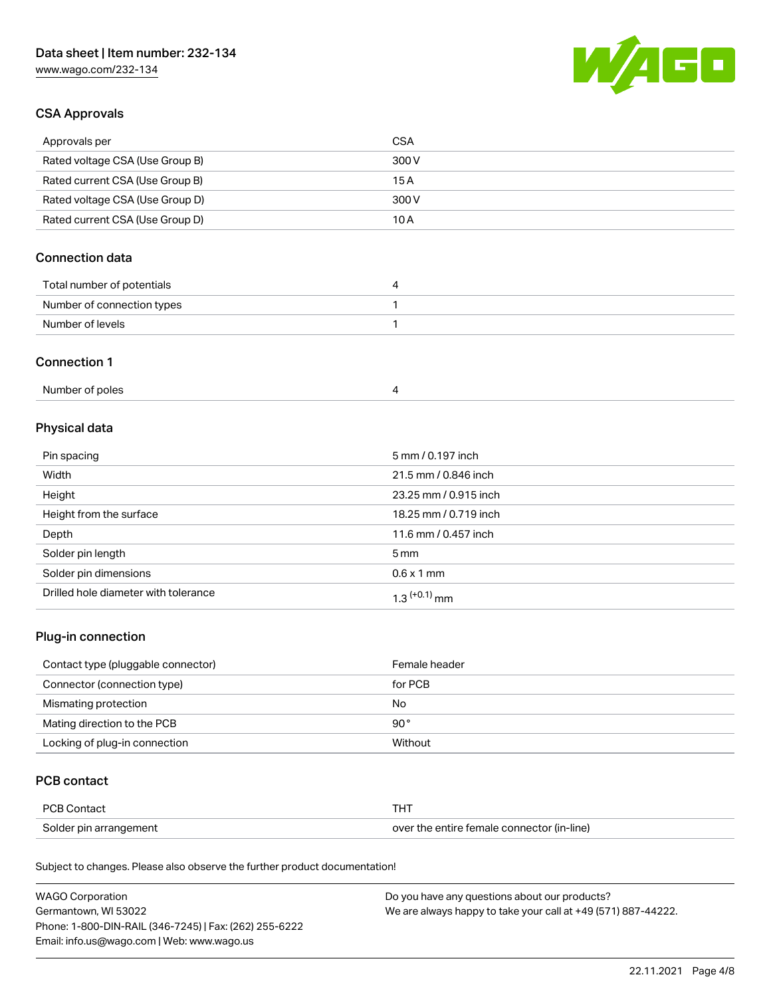[www.wago.com/232-134](http://www.wago.com/232-134)



## CSA Approvals

| Approvals per                   | CSA   |
|---------------------------------|-------|
| Rated voltage CSA (Use Group B) | 300 V |
| Rated current CSA (Use Group B) | 15 A  |
| Rated voltage CSA (Use Group D) | 300 V |
| Rated current CSA (Use Group D) | 10 A  |

# Connection data

| Total number of potentials |  |
|----------------------------|--|
| Number of connection types |  |
| Number of levels           |  |

### Connection 1

| Number of poles |  |
|-----------------|--|
|-----------------|--|

# Physical data

| Pin spacing                          | 5 mm / 0.197 inch     |
|--------------------------------------|-----------------------|
| Width                                | 21.5 mm / 0.846 inch  |
| Height                               | 23.25 mm / 0.915 inch |
| Height from the surface              | 18.25 mm / 0.719 inch |
| Depth                                | 11.6 mm / 0.457 inch  |
| Solder pin length                    | $5 \,\mathrm{mm}$     |
| Solder pin dimensions                | $0.6 \times 1$ mm     |
| Drilled hole diameter with tolerance | $1.3$ $(+0.1)$ mm     |

# Plug-in connection

| Contact type (pluggable connector) | Female header |
|------------------------------------|---------------|
| Connector (connection type)        | for PCB       |
| Mismating protection               | No            |
| Mating direction to the PCB        | $90^{\circ}$  |
| Locking of plug-in connection      | Without       |

### PCB contact

| PCB Contact            | THT                                        |
|------------------------|--------------------------------------------|
| Solder pin arrangement | over the entire female connector (in-line) |

Subject to changes. Please also observe the further product documentation!

| <b>WAGO Corporation</b>                                | Do you have any questions about our products?                 |
|--------------------------------------------------------|---------------------------------------------------------------|
| Germantown, WI 53022                                   | We are always happy to take your call at +49 (571) 887-44222. |
| Phone: 1-800-DIN-RAIL (346-7245)   Fax: (262) 255-6222 |                                                               |
| Email: info.us@wago.com   Web: www.wago.us             |                                                               |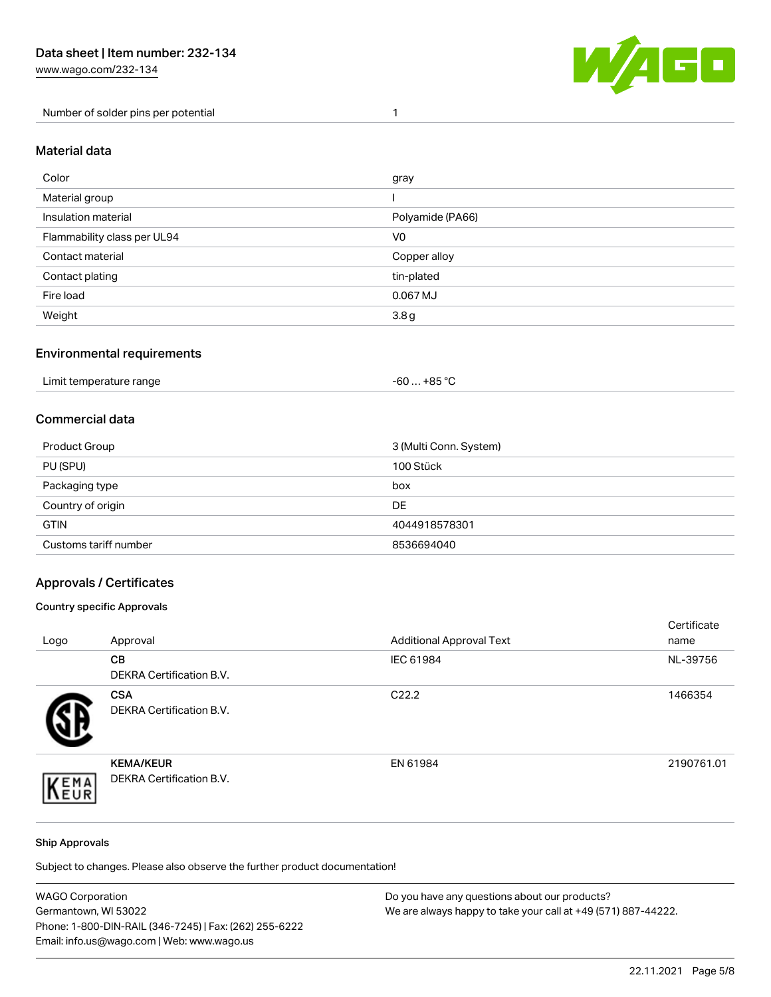Number of solder pins per potential 1



### Material data

| Color                       | gray             |
|-----------------------------|------------------|
| Material group              |                  |
| Insulation material         | Polyamide (PA66) |
| Flammability class per UL94 | V <sub>0</sub>   |
| Contact material            | Copper alloy     |
| Contact plating             | tin-plated       |
| Fire load                   | 0.067 MJ         |
| Weight                      | 3.8 <sub>g</sub> |

### Environmental requirements

## Commercial data

| Product Group         | 3 (Multi Conn. System) |
|-----------------------|------------------------|
| PU (SPU)              | 100 Stück              |
| Packaging type        | box                    |
| Country of origin     | <b>DE</b>              |
| <b>GTIN</b>           | 4044918578301          |
| Customs tariff number | 8536694040             |

## Approvals / Certificates

### Country specific Approvals

| Logo | Approval                                            | <b>Additional Approval Text</b> | Certificate<br>name |
|------|-----------------------------------------------------|---------------------------------|---------------------|
|      | CВ<br><b>DEKRA Certification B.V.</b>               | IEC 61984                       | NL-39756            |
|      | <b>CSA</b><br>DEKRA Certification B.V.              | C <sub>22.2</sub>               | 1466354             |
| EMA  | <b>KEMA/KEUR</b><br><b>DEKRA Certification B.V.</b> | EN 61984                        | 2190761.01          |

### Ship Approvals

Subject to changes. Please also observe the further product documentation!

| <b>WAGO Corporation</b>                                | Do you have any questions about our products?                 |
|--------------------------------------------------------|---------------------------------------------------------------|
| Germantown, WI 53022                                   | We are always happy to take your call at +49 (571) 887-44222. |
| Phone: 1-800-DIN-RAIL (346-7245)   Fax: (262) 255-6222 |                                                               |
| Email: info.us@wago.com   Web: www.wago.us             |                                                               |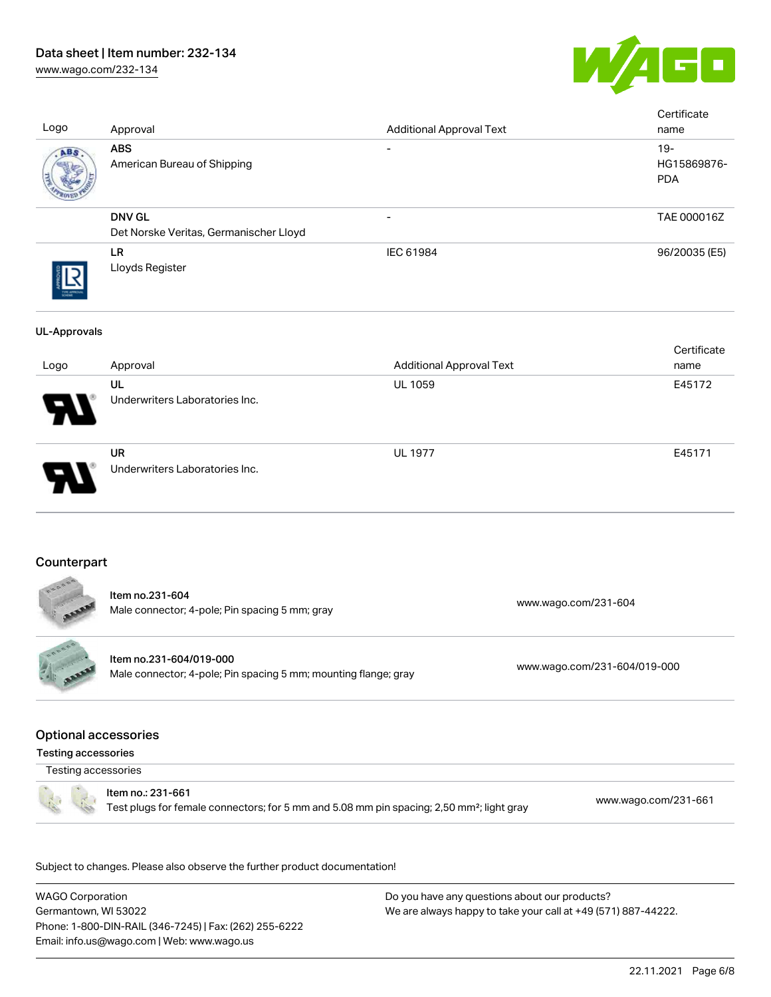# Data sheet | Item number: 232-134

[www.wago.com/232-134](http://www.wago.com/232-134)



| Logo                                                      | Approval                                                                                                                   | <b>Additional Approval Text</b> |                              | Certificate<br>name                 |
|-----------------------------------------------------------|----------------------------------------------------------------------------------------------------------------------------|---------------------------------|------------------------------|-------------------------------------|
| ABS                                                       | <b>ABS</b><br>American Bureau of Shipping                                                                                  |                                 |                              | $19 -$<br>HG15869876-<br><b>PDA</b> |
|                                                           | <b>DNV GL</b><br>Det Norske Veritas, Germanischer Lloyd                                                                    |                                 |                              | TAE 000016Z                         |
|                                                           | <b>LR</b><br>Lloyds Register                                                                                               | IEC 61984                       |                              | 96/20035 (E5)                       |
| <b>UL-Approvals</b>                                       |                                                                                                                            |                                 |                              |                                     |
| Logo                                                      | Approval                                                                                                                   | <b>Additional Approval Text</b> |                              | Certificate<br>name                 |
|                                                           | UL<br>Underwriters Laboratories Inc.                                                                                       | UL 1059                         |                              | E45172                              |
|                                                           | <b>UR</b><br>Underwriters Laboratories Inc.                                                                                | <b>UL 1977</b>                  |                              | E45171                              |
| Counterpart                                               | Item no.231-604                                                                                                            |                                 |                              |                                     |
|                                                           | Male connector; 4-pole; Pin spacing 5 mm; gray                                                                             |                                 | www.wago.com/231-604         |                                     |
| FRAARY<br><b>Allan</b>                                    | Item no.231-604/019-000<br>Male connector; 4-pole; Pin spacing 5 mm; mounting flange; gray                                 |                                 | www.wago.com/231-604/019-000 |                                     |
| <b>Optional accessories</b><br><b>Testing accessories</b> |                                                                                                                            |                                 |                              |                                     |
| Testing accessories                                       |                                                                                                                            |                                 |                              |                                     |
|                                                           | Item no.: 231-661<br>Test plugs for female connectors; for 5 mm and 5.08 mm pin spacing; 2,50 mm <sup>2</sup> ; light gray |                                 |                              | www.wago.com/231-661                |
|                                                           | Subject to changes. Please also observe the further product documentation!                                                 |                                 |                              |                                     |

WAGO Corporation Germantown, WI 53022 Phone: 1-800-DIN-RAIL (346-7245) | Fax: (262) 255-6222 Email: info.us@wago.com | Web: www.wago.us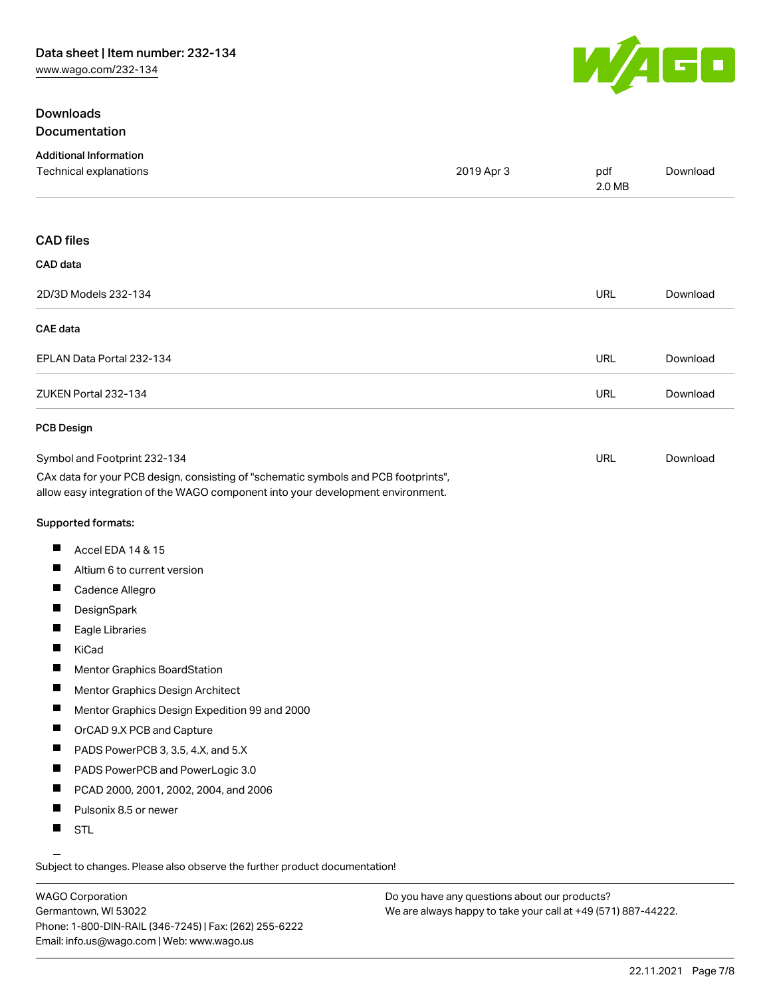# **Downloads** Documentation



| <b>Additional Information</b><br>Technical explanations                                                                                                                                                | 2019 Apr 3 | pdf<br>2.0 MB | Download |
|--------------------------------------------------------------------------------------------------------------------------------------------------------------------------------------------------------|------------|---------------|----------|
| <b>CAD files</b>                                                                                                                                                                                       |            |               |          |
| CAD data                                                                                                                                                                                               |            |               |          |
| 2D/3D Models 232-134                                                                                                                                                                                   |            | <b>URL</b>    | Download |
| CAE data                                                                                                                                                                                               |            |               |          |
| EPLAN Data Portal 232-134                                                                                                                                                                              |            | <b>URL</b>    | Download |
| ZUKEN Portal 232-134                                                                                                                                                                                   |            | <b>URL</b>    | Download |
| <b>PCB Design</b>                                                                                                                                                                                      |            |               |          |
| Symbol and Footprint 232-134<br>CAx data for your PCB design, consisting of "schematic symbols and PCB footprints",<br>allow easy integration of the WAGO component into your development environment. |            | <b>URL</b>    | Download |
| Supported formats:                                                                                                                                                                                     |            |               |          |
| ш<br>Accel EDA 14 & 15                                                                                                                                                                                 |            |               |          |
| Altium 6 to current version                                                                                                                                                                            |            |               |          |
| ш<br>Cadence Allegro                                                                                                                                                                                   |            |               |          |
| ш<br>DesignSpark                                                                                                                                                                                       |            |               |          |
| H<br>Eagle Libraries                                                                                                                                                                                   |            |               |          |
| ш<br>KiCad                                                                                                                                                                                             |            |               |          |
| ш<br><b>Mentor Graphics BoardStation</b>                                                                                                                                                               |            |               |          |
| ш<br>Mentor Graphics Design Architect                                                                                                                                                                  |            |               |          |
| ш<br>Mentor Graphics Design Expedition 99 and 2000                                                                                                                                                     |            |               |          |
| ш<br>OrCAD 9.X PCB and Capture                                                                                                                                                                         |            |               |          |
| PADS PowerPCB 3, 3.5, 4.X, and 5.X                                                                                                                                                                     |            |               |          |
| ш<br>PADS PowerPCB and PowerLogic 3.0                                                                                                                                                                  |            |               |          |
| PCAD 2000, 2001, 2002, 2004, and 2006                                                                                                                                                                  |            |               |          |
| Pulsonix 8.5 or newer<br><b>The Contract of the Contract of the Contract of the Contract of the Contract of the Contract of the Contract o</b>                                                         |            |               |          |
| ш<br><b>STL</b>                                                                                                                                                                                        |            |               |          |

Subject to changes. Please also observe the further product documentation!

WAGO Corporation Germantown, WI 53022 Phone: 1-800-DIN-RAIL (346-7245) | Fax: (262) 255-6222 Email: info.us@wago.com | Web: www.wago.us